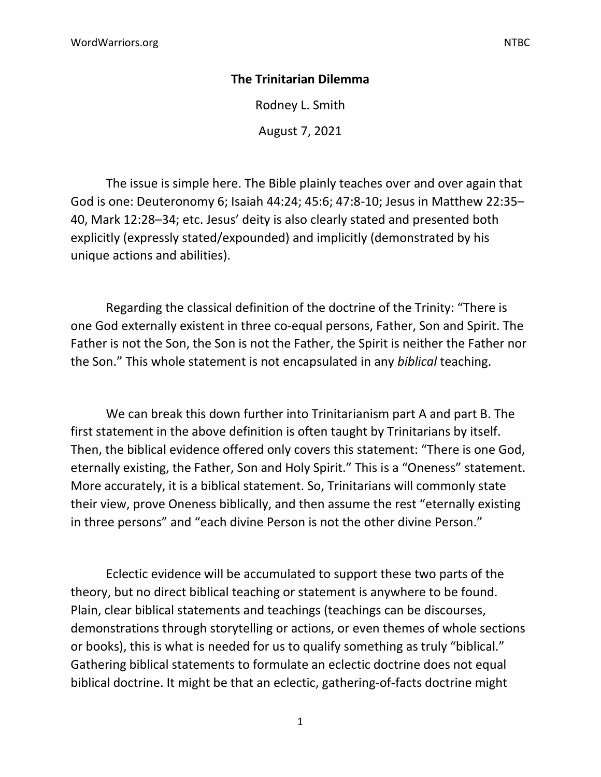## **The Trinitarian Dilemma**

Rodney L. Smith

August 7, 2021

The issue is simple here. The Bible plainly teaches over and over again that God is one: Deuteronomy 6; Isaiah 44:24; 45:6; 47:8-10; Jesus in Matthew 22:35– 40, Mark 12:28–34; etc. Jesus' deity is also clearly stated and presented both explicitly (expressly stated/expounded) and implicitly (demonstrated by his unique actions and abilities).

Regarding the classical definition of the doctrine of the Trinity: "There is one God externally existent in three co-equal persons, Father, Son and Spirit. The Father is not the Son, the Son is not the Father, the Spirit is neither the Father nor the Son." This whole statement is not encapsulated in any *biblical* teaching.

We can break this down further into Trinitarianism part A and part B. The first statement in the above definition is often taught by Trinitarians by itself. Then, the biblical evidence offered only covers this statement: "There is one God, eternally existing, the Father, Son and Holy Spirit." This is a "Oneness" statement. More accurately, it is a biblical statement. So, Trinitarians will commonly state their view, prove Oneness biblically, and then assume the rest "eternally existing in three persons" and "each divine Person is not the other divine Person."

Eclectic evidence will be accumulated to support these two parts of the theory, but no direct biblical teaching or statement is anywhere to be found. Plain, clear biblical statements and teachings (teachings can be discourses, demonstrations through storytelling or actions, or even themes of whole sections or books), this is what is needed for us to qualify something as truly "biblical." Gathering biblical statements to formulate an eclectic doctrine does not equal biblical doctrine. It might be that an eclectic, gathering-of-facts doctrine might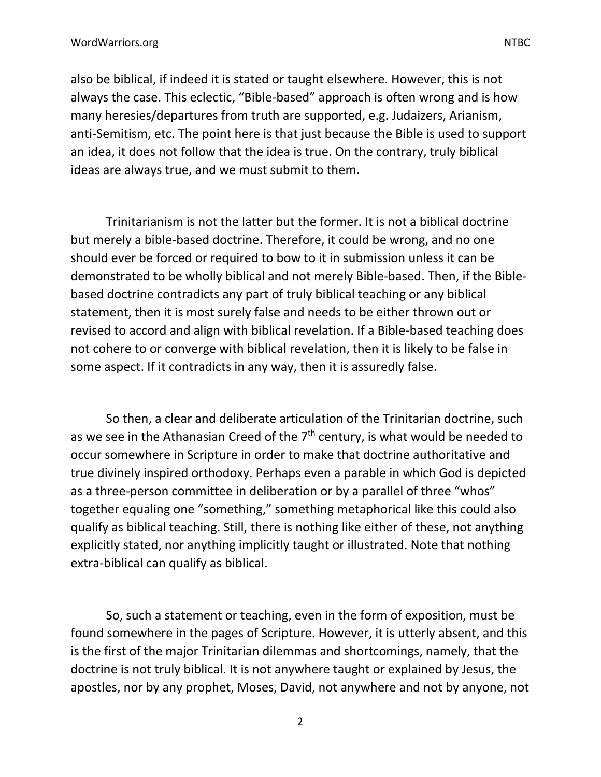also be biblical, if indeed it is stated or taught elsewhere. However, this is not always the case. This eclectic, "Bible-based" approach is often wrong and is how many heresies/departures from truth are supported, e.g. Judaizers, Arianism, anti-Semitism, etc. The point here is that just because the Bible is used to support an idea, it does not follow that the idea is true. On the contrary, truly biblical ideas are always true, and we must submit to them.

Trinitarianism is not the latter but the former. It is not a biblical doctrine but merely a bible-based doctrine. Therefore, it could be wrong, and no one should ever be forced or required to bow to it in submission unless it can be demonstrated to be wholly biblical and not merely Bible-based. Then, if the Biblebased doctrine contradicts any part of truly biblical teaching or any biblical statement, then it is most surely false and needs to be either thrown out or revised to accord and align with biblical revelation. If a Bible-based teaching does not cohere to or converge with biblical revelation, then it is likely to be false in some aspect. If it contradicts in any way, then it is assuredly false.

So then, a clear and deliberate articulation of the Trinitarian doctrine, such as we see in the Athanasian Creed of the  $7<sup>th</sup>$  century, is what would be needed to occur somewhere in Scripture in order to make that doctrine authoritative and true divinely inspired orthodoxy. Perhaps even a parable in which God is depicted as a three-person committee in deliberation or by a parallel of three "whos" together equaling one "something," something metaphorical like this could also qualify as biblical teaching. Still, there is nothing like either of these, not anything explicitly stated, nor anything implicitly taught or illustrated. Note that nothing extra-biblical can qualify as biblical.

So, such a statement or teaching, even in the form of exposition, must be found somewhere in the pages of Scripture. However, it is utterly absent, and this is the first of the major Trinitarian dilemmas and shortcomings, namely, that the doctrine is not truly biblical. It is not anywhere taught or explained by Jesus, the apostles, nor by any prophet, Moses, David, not anywhere and not by anyone, not